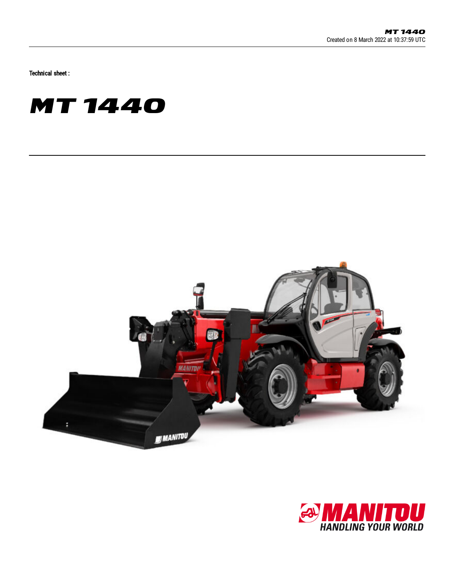Technical sheet :





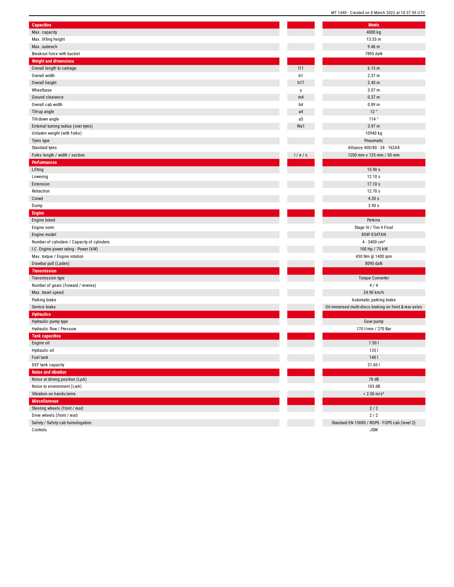| <b>Capacities</b>                           |                | <b>Metric</b>                                          |
|---------------------------------------------|----------------|--------------------------------------------------------|
| Max. capacity                               |                | 4000 kg                                                |
| Max. lifting height                         |                | 13.53 m                                                |
| Max. outreach                               |                | $9.46$ m                                               |
| Breakout force with bucket                  |                | 7895 daN                                               |
| <b>Weight and dimensions</b>                |                |                                                        |
| Overall length to carriage                  | 111            | 6.13 m                                                 |
| Overall width                               | b1             | 2.37 m                                                 |
| Overall height                              | h17            | 2.45 m                                                 |
| Wheelbase                                   | у              | 3.07 m                                                 |
| Ground clearance                            | m4             | 0.37 m                                                 |
| Overall cab width                           | b <sub>4</sub> | 0.89 <sub>m</sub>                                      |
| Tilt-up angle                               | a4             | 12°                                                    |
| Tilt-down angle                             | a5             | 114°                                                   |
| External turning radius (over tyres)        | Wa1            | 3.97 m                                                 |
| Unladen weight (with forks)                 |                | 10940 kg                                               |
| Tyres type                                  |                | Pneumatic                                              |
| Standard tyres                              |                | Alliance 400/80 - 24 - 162A8                           |
| Forks length / width / section              | 1/e/s          | 1200 mm x 125 mm / 50 mm                               |
| <b>Performances</b>                         |                |                                                        |
| Lifting                                     |                | 15.90 s                                                |
| Lowering                                    |                | 12.10 s                                                |
| Extension                                   |                | 17.10 s                                                |
|                                             |                | 12.70 s                                                |
| Retraction                                  |                |                                                        |
| Crowd                                       |                | 4.30 s                                                 |
| Dump                                        |                | 3.90 s                                                 |
| <b>Engine</b>                               |                |                                                        |
| Engine brand                                |                | Perkins                                                |
| Engine norm                                 |                | Stage IV / Tier 4 Final                                |
| Engine model                                |                | 854F-E34TAN                                            |
| Number of cylinders / Capacity of cylinders |                | $4 - 3400$ cm <sup>3</sup>                             |
| I.C. Engine power rating - Power (kW)       |                | 100 Hp / 75 kW                                         |
| Max. torque / Engine rotation               |                | 430 Nm @ 1400 rpm                                      |
| Drawbar pull (Laden)                        |                | 8090 daN                                               |
| <b>Transmission</b>                         |                |                                                        |
| Transmission type                           |                | <b>Torque Converter</b>                                |
| Number of gears (forward / reverse)         |                | 4/4                                                    |
| Max. travel speed                           |                | 24.90 km/h                                             |
| Parking brake                               |                | Automatic parking brake                                |
| Service brake                               |                | Oil-immersed multi-discs braking on front & rear axles |
| <b>Hydraulics</b>                           |                |                                                        |
| Hydraulic pump type                         |                | Gear pump                                              |
| Hydraulic flow / Pressure                   |                | 170 l/min / 270 Bar                                    |
| <b>Tank capacities</b>                      |                |                                                        |
| Engine oil                                  |                | 7.501                                                  |
| Hydraulic oil                               |                | 1351                                                   |
| Fuel tank                                   |                | 140                                                    |
| DEF tank capacity                           |                | 21.60                                                  |
| Noise and vibration                         |                |                                                        |
| Noise at driving position (LpA)             |                | 78 dB                                                  |
| Noise to environment (LwA)                  |                | 103 dB                                                 |
| Vibration on hands/arms                     |                | $< 2.50$ m/s <sup>2</sup>                              |
| <b>Miscellaneous</b>                        |                |                                                        |
| Steering wheels (front / rear)              |                | $2/2$                                                  |
| Drive wheels (front / rear)                 |                | $2/2$                                                  |
| Safety / Safety cab homologation            |                | Standard EN 15000 / ROPS - FOPS cab (level 2)          |
| Controls                                    |                | <b>JSM</b>                                             |

MT 1440 - Created on 8 March 2022 at 10:37:59 UTC Metric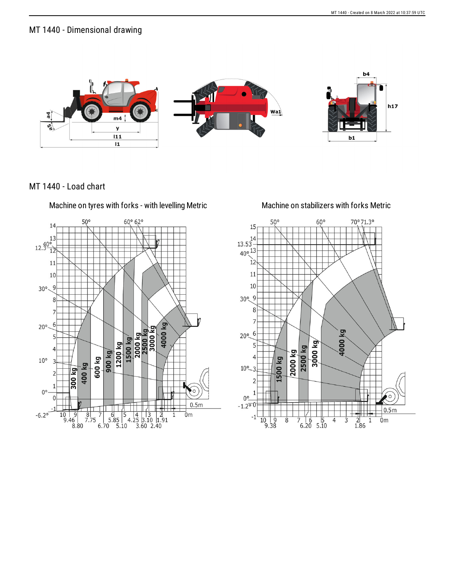## MT 1440 - Dimensional drawing



MT 1440 - Load chart

Machine on tyres with forks - with levelling Metric Machine on stabilizers with forks Metric